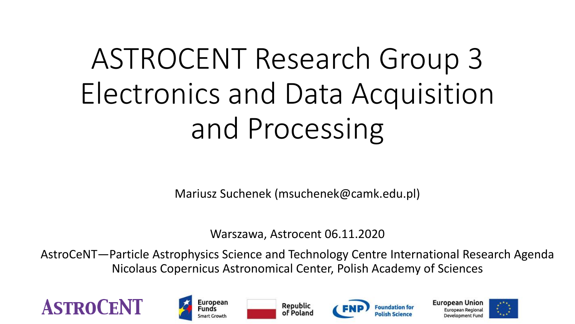# ASTROCENT Research Group 3 Electronics and Data Acquisition and Processing

Mariusz Suchenek (msuchenek@camk.edu.pl)

Warszawa, Astrocent 06.11.2020

AstroCeNT—Particle Astrophysics Science and Technology Centre International Research Agenda Nicolaus Copernicus Astronomical Center, Polish Academy of Sciences











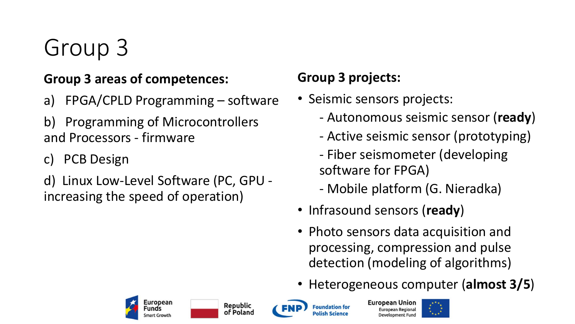# Group 3

#### **Group 3 areas of competences:**

- a) FPGA/CPLD Programming software
- b) Programming of Microcontrollers and Processors - firmware
- c) PCB Design
- d) Linux Low-Level Software (PC, GPU increasing the speed of operation)

#### **Group 3 projects:**

- Seismic sensors projects:
	- Autonomous seismic sensor (**ready**)
	- Active seismic sensor (prototyping)
	- Fiber seismometer (developing software for FPGA)
	- Mobile platform (G. Nieradka)
- Infrasound sensors (**ready**)
- Photo sensors data acquisition and processing, compression and pulse detection (modeling of algorithms)
- Heterogeneous computer (**almost 3/5**)



**Republic** 

of Poland

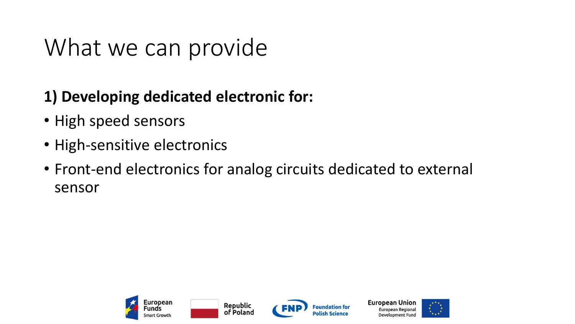### What we can provide

### **1) Developing dedicated electronic for:**

- High speed sensors
- High-sensitive electronics
- Front-end electronics for analog circuits dedicated to external sensor







European Union **European Regiona Development Fund** 

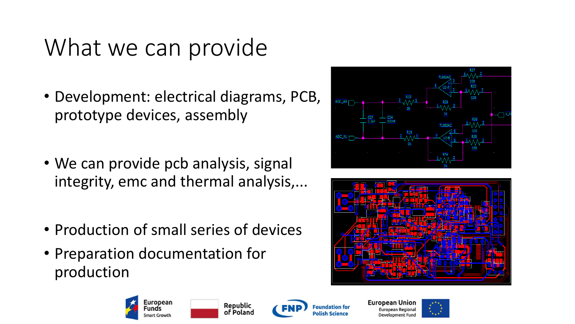### What we can provide

- Development: electrical diagrams, PCB, prototype devices, assembly
- We can provide pcb analysis, signal integrity, emc and thermal analysis,...
- Production of small series of devices
- Preparation documentation for production







**Republic** of Poland



**European Unior** European Regiona Development Fung

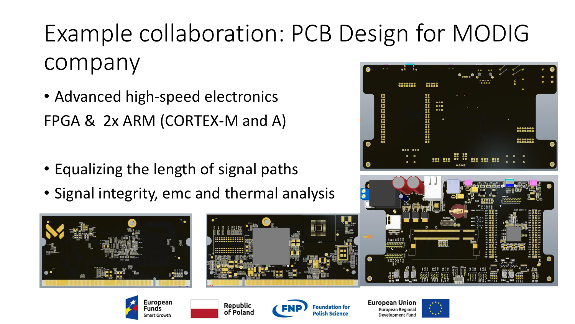# Example collaboration: PCB Design for MODIG company

- Advanced high-speed electronics FPGA & 2x ARM (CORTEX-M and A)
- Equalizing the length of signal paths

ropean

unds

mart Growth

• Signal integrity, emc and thermal analysis















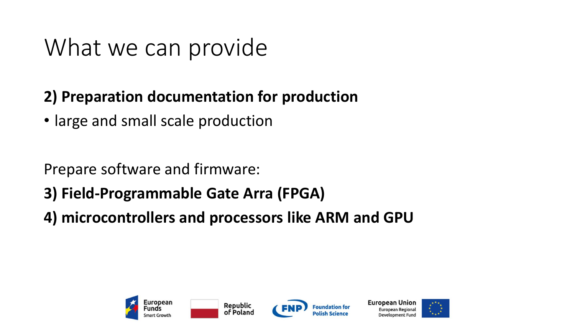### What we can provide

### **2) Preparation documentation for production**

• large and small scale production

Prepare software and firmware:

- **3) Field-Programmable Gate Arra (FPGA)**
- **4) microcontrollers and processors like ARM and GPU**







**European Unior** 

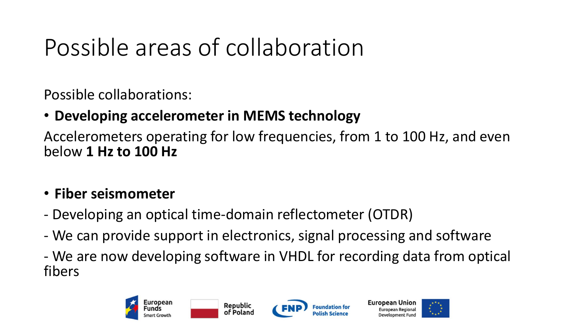# Possible areas of collaboration

Possible collaborations:

### • **Developing accelerometer in MEMS technology**

Accelerometers operating for low frequencies, from 1 to 100 Hz, and even below **1 Hz to 100 Hz**

#### • **Fiber seismometer**

- Developing an optical time-domain reflectometer (OTDR)
- We can provide support in electronics, signal processing and software
- We are now developing software in VHDL for recording data from optical fibers





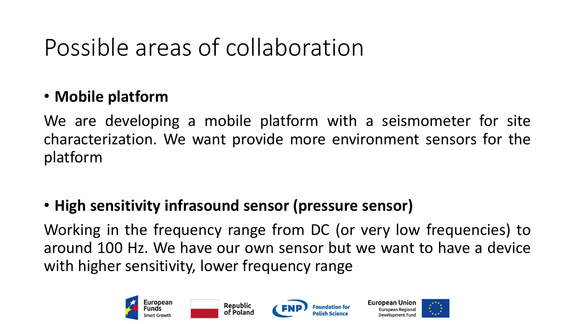# Possible areas of collaboration

### • **Mobile platform**

We are developing a mobile platform with a seismometer for site characterization. We want provide more environment sensors for the platform

### • **High sensitivity infrasound sensor (pressure sensor)**

Working in the frequency range from DC (or very low frequencies) to around 100 Hz. We have our own sensor but we want to have a device with higher sensitivity, lower frequency range







European Unior

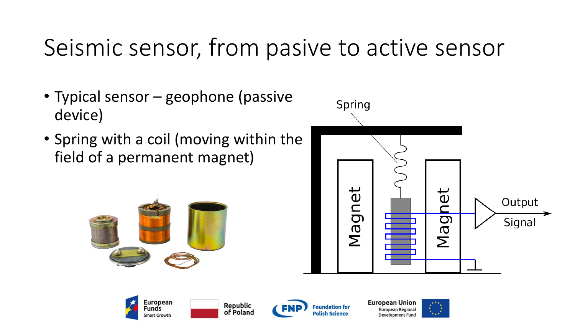## Seismic sensor, from pasive to active sensor

- Typical sensor geophone (passive device)
- Spring with a coil (moving within the field of a permanent magnet)









Republic

of Poland

**European Union** European Regiona **Development Fund** 

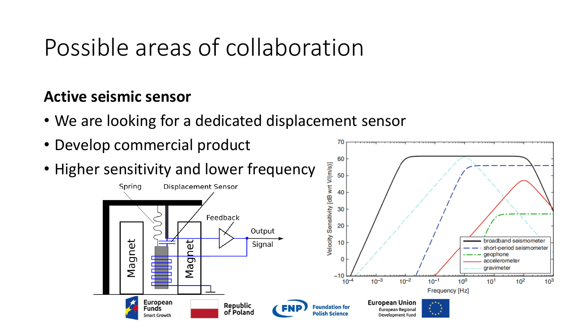### Possible areas of collaboration

#### **Active seismic sensor**

- We are looking for a dedicated displacement sensor
- Develop commercial product
- Higher sensitivity and lower frequency



70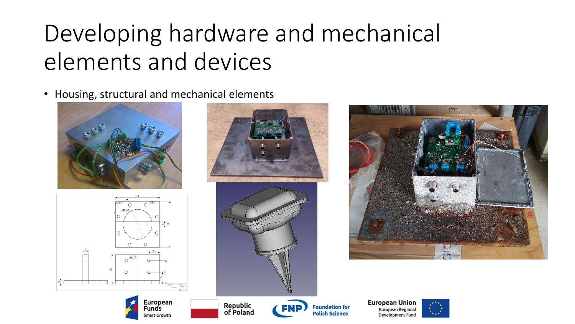# Developing hardware and mechanical elements and devices

• Housing, structural and mechanical elements

European

Smart Growth

unds











**Polish Science**